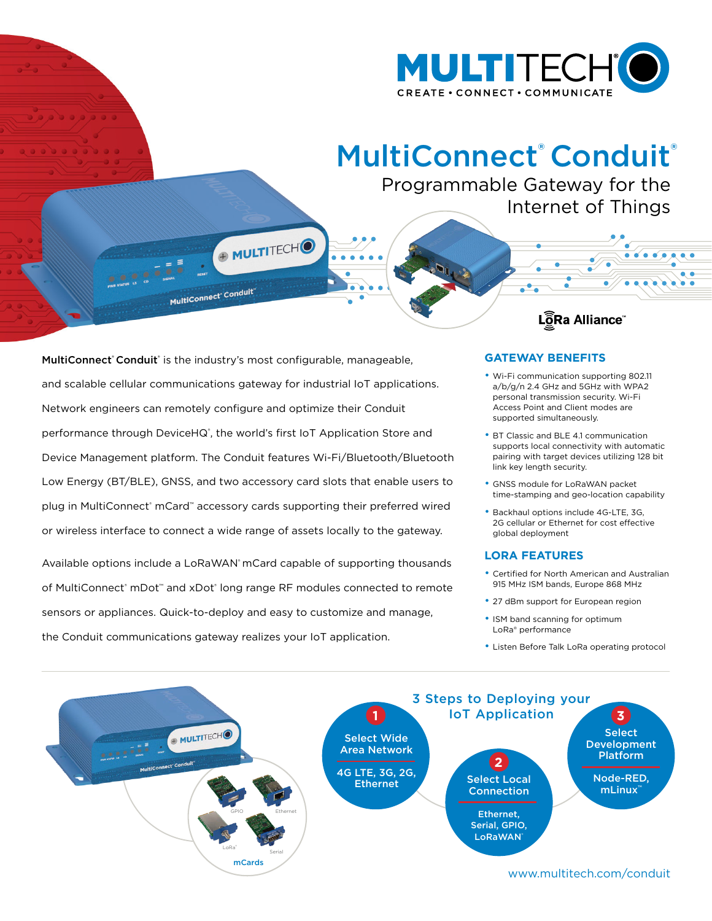

## MultiConnect® [Conduit](https://www.multitech.com/conduit)®

Programmable Gateway for the Internet of Things

[MultiConnect](https://www.multitech.com/conduit)' Conduit' is the industry's most configurable, manageable, and scalable cellular communications gateway for industrial IoT applications. Network engineers can remotely configure and optimize their Conduit performance through DeviceHQ<sup>®</sup>, the world's first IoT Application Store and Device Management platform. The Conduit features Wi-Fi/Bluetooth/Bluetooth Low Energy (BT/BLE), GNSS, and two accessory card slots that enable users to plug in MultiConnect® mCard™ accessory cards supporting their preferred wired or wireless interface to connect a wide range of assets locally to the gateway.

+ MULTITECHO

MultiConnect<sup>®</sup> Conduit

Available options include a LoRaWAN' mCard capable of supporting thousands of MultiConnect® mDot™ and xDot® long range RF modules connected to remote sensors or appliances. Quick-to-deploy and easy to customize and manage, the Conduit communications gateway realizes your IoT application.

## **GATEWAY BENEFITS**

• Wi-Fi communication supporting 802.11 a/b/g/n 2.4 GHz and 5GHz with WPA2 personal transmission security. Wi-Fi Access Point and Client modes are supported simultaneously.

LôRa Alliance

- BT Classic and BLE 4.1 communication supports local connectivity with automatic pairing with target devices utilizing 128 bit link key length security.
- GNSS module for LoRaWAN packet time-stamping and geo-location capability
- Backhaul options include 4G-LTE, 3G, 2G cellular or Ethernet for cost effective global deployment

#### **LORA FEATURES**

- Certified for North American and Australian 915 MHz ISM bands, Europe 868 MHz
- 27 dBm support for European region
- ISM band scanning for optimum LoRa® performance
- Listen Before Talk LoRa operating protocol

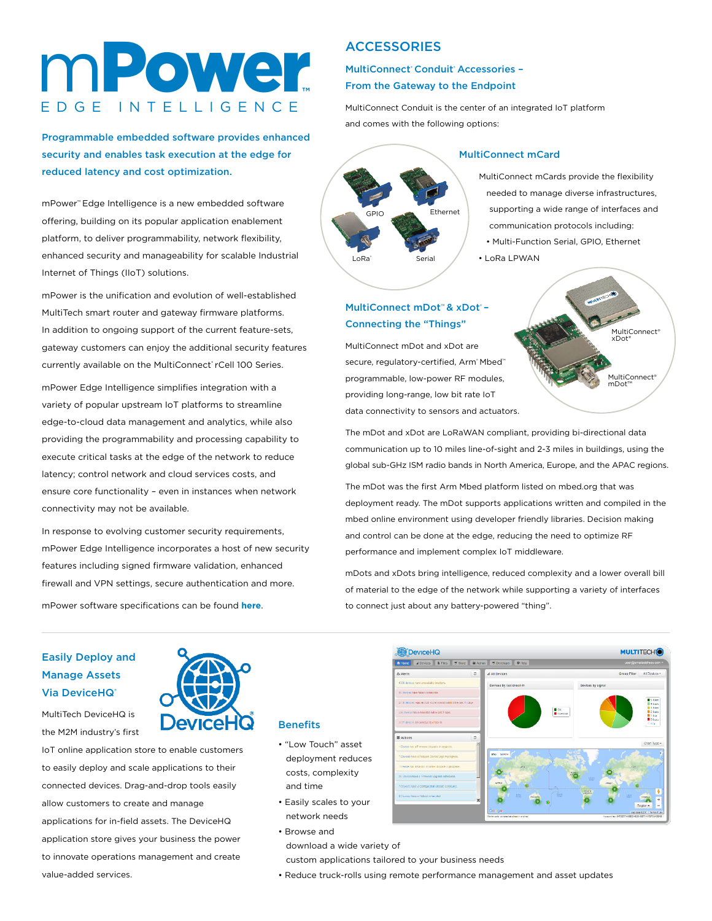# mPower**™** E D G E I N T E L L I G E N C E

Programmable embedded software provides enhanced security and enables task execution at the edge for reduced latency and cost optimization.

mPower™ Edge Intelligence is a new embedded software offering, building on its popular application enablement platform, to deliver programmability, network flexibility, enhanced security and manageability for scalable Industrial Internet of Things (IIoT) solutions.

mPower is the unification and evolution of well-established MultiTech smart router and gateway firmware platforms. In addition to ongoing support of the current feature-sets, gateway customers can enjoy the additional security features currently available on the MultiConnect® rCell 100 Series.

mPower Edge Intelligence simplifies integration with a variety of popular upstream IoT platforms to streamline edge-to-cloud data management and analytics, while also providing the programmability and processing capability to execute critical tasks at the edge of the network to reduce latency; control network and cloud services costs, and ensure core functionality – even in instances when network connectivity may not be available.

In response to evolving customer security requirements, mPower Edge Intelligence incorporates a host of new security features including signed firmware validation, enhanced firewall and VPN settings, secure authentication and more.

mPower software specifications can be found **[here](https://www.multitech.com/documents/publications/brochures/MT_Brochure_mPower_Edge_Intelligence_2019-06.pdf )**.

## **ACCESSORIES**

MultiConnect<sup>®</sup> Conduit® Accessories -From the Gateway to the Endpoint

MultiConnect Conduit is the center of an integrated IoT platform and comes with the following options:



#### MultiConnect mCard

MultiConnect mCards provide the flexibility needed to manage diverse infrastructures, supporting a wide range of interfaces and communication protocols including:

• Multi-Function Serial, GPIO, Ethernet • LoRa LPWAN

## MultiConnect mDot<sup>™</sup> & xDot<sup>®</sup> -Connecting the "Things"

MultiConnect mDot and xDot are secure, regulatory-certified, Arm® Mbed™ programmable, low-power RF modules, providing long-range, low bit rate IoT data connectivity to sensors and actuators.



The mDot and xDot are LoRaWAN compliant, providing bi-directional data communication up to 10 miles line-of-sight and 2-3 miles in buildings, using the global sub-GHz ISM radio bands in North America, Europe, and the APAC regions.

The mDot was the first Arm Mbed platform listed on mbed.org that was deployment ready. The mDot supports applications written and compiled in the mbed online environment using developer friendly libraries. Decision making and control can be done at the edge, reducing the need to optimize RF performance and implement complex IoT middleware.

mDots and xDots bring intelligence, reduced complexity and a lower overall bill of material to the edge of the network while supporting a variety of interfaces to connect just about any battery-powered "thing".

### Easily Deploy and Manage Assets **Via DeviceHQ®**

MultiTech DeviceHQ is the M2M industry's first

IoT online application store to enable customers to easily deploy and scale applications to their connected devices. Drag-and-drop tools easily allow customers to create and manage applications for in-field assets. The DeviceHQ application store gives your business the power to innovate operations management and create value-added services.



#### **Benefits**

- "Low Touch" asset deployment reduces costs, complexity and time
- Easily scales to your network needs
- Browse and download a wide variety of custom applications tailored to your business needs



• Reduce truck-rolls using remote performance management and asset updates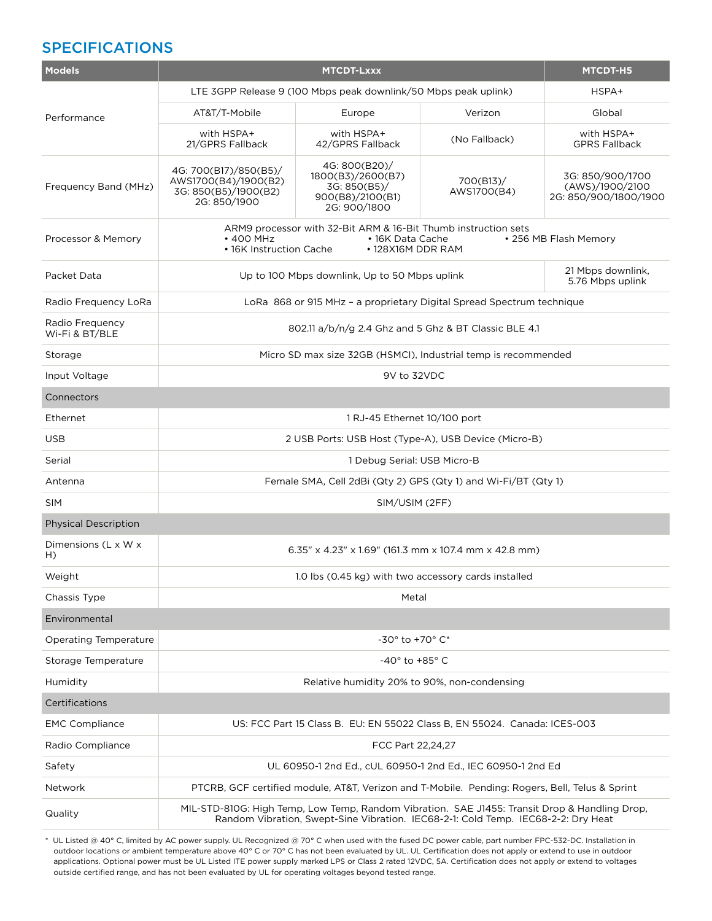## SPECIFICATIONS

| <b>Models</b>                     | <b>MTCDT-Lxxx</b>                                                                                                                                                                  |                                                                                        |                          | <b>MTCDT-H5</b>                                              |
|-----------------------------------|------------------------------------------------------------------------------------------------------------------------------------------------------------------------------------|----------------------------------------------------------------------------------------|--------------------------|--------------------------------------------------------------|
|                                   | LTE 3GPP Release 9 (100 Mbps peak downlink/50 Mbps peak uplink)                                                                                                                    |                                                                                        |                          | HSPA+                                                        |
| Performance                       | AT&T/T-Mobile                                                                                                                                                                      | Europe                                                                                 | Verizon                  | Global                                                       |
|                                   | with HSPA+<br>21/GPRS Fallback                                                                                                                                                     | with HSPA+<br>42/GPRS Fallback                                                         | (No Fallback)            | with HSPA+<br><b>GPRS Fallback</b>                           |
| Frequency Band (MHz)              | 4G: 700(B17)/850(B5)/<br>AWS1700(B4)/1900(B2)<br>3G: 850(B5)/1900(B2)<br>2G: 850/1900                                                                                              | 4G: 800(B20)/<br>1800(B3)/2600(B7)<br>3G: 850(B5)/<br>900(B8)/2100(B1)<br>2G: 900/1800 | 700(B13)/<br>AWS1700(B4) | 3G: 850/900/1700<br>(AWS)/1900/2100<br>2G: 850/900/1800/1900 |
| Processor & Memory                | ARM9 processor with 32-Bit ARM & 16-Bit Thumb instruction sets<br>$\cdot$ 400 MHz<br>• 16K Data Cache<br>• 256 MB Flash Memory<br>• 16K Instruction Cache<br>• 128X16M DDR RAM     |                                                                                        |                          |                                                              |
| Packet Data                       | Up to 100 Mbps downlink, Up to 50 Mbps uplink                                                                                                                                      |                                                                                        |                          | 21 Mbps downlink,<br>5.76 Mbps uplink                        |
| Radio Frequency LoRa              | LoRa 868 or 915 MHz - a proprietary Digital Spread Spectrum technique                                                                                                              |                                                                                        |                          |                                                              |
| Radio Frequency<br>Wi-Fi & BT/BLE | 802.11 a/b/n/g 2.4 Ghz and 5 Ghz & BT Classic BLE 4.1                                                                                                                              |                                                                                        |                          |                                                              |
| Storage                           | Micro SD max size 32GB (HSMCI), Industrial temp is recommended                                                                                                                     |                                                                                        |                          |                                                              |
| Input Voltage                     | 9V to 32VDC                                                                                                                                                                        |                                                                                        |                          |                                                              |
| Connectors                        |                                                                                                                                                                                    |                                                                                        |                          |                                                              |
| Ethernet                          | 1 RJ-45 Ethernet 10/100 port                                                                                                                                                       |                                                                                        |                          |                                                              |
| <b>USB</b>                        | 2 USB Ports: USB Host (Type-A), USB Device (Micro-B)                                                                                                                               |                                                                                        |                          |                                                              |
| Serial                            | 1 Debug Serial: USB Micro-B                                                                                                                                                        |                                                                                        |                          |                                                              |
| Antenna                           | Female SMA, Cell 2dBi (Qty 2) GPS (Qty 1) and Wi-Fi/BT (Qty 1)                                                                                                                     |                                                                                        |                          |                                                              |
| <b>SIM</b>                        | SIM/USIM (2FF)                                                                                                                                                                     |                                                                                        |                          |                                                              |
| <b>Physical Description</b>       |                                                                                                                                                                                    |                                                                                        |                          |                                                              |
| Dimensions (L x W x<br>$H$ )      | 6.35" x 4.23" x 1.69" (161.3 mm x 107.4 mm x 42.8 mm)                                                                                                                              |                                                                                        |                          |                                                              |
| Weight                            | 1.0 lbs (0.45 kg) with two accessory cards installed                                                                                                                               |                                                                                        |                          |                                                              |
| Chassis Type                      |                                                                                                                                                                                    | Metal                                                                                  |                          |                                                              |
| Environmental                     |                                                                                                                                                                                    |                                                                                        |                          |                                                              |
| Operating Temperature             |                                                                                                                                                                                    | -30° to +70° C*                                                                        |                          |                                                              |
| Storage Temperature               | -40 $^{\circ}$ to +85 $^{\circ}$ C                                                                                                                                                 |                                                                                        |                          |                                                              |
| Humidity                          | Relative humidity 20% to 90%, non-condensing                                                                                                                                       |                                                                                        |                          |                                                              |
| Certifications                    |                                                                                                                                                                                    |                                                                                        |                          |                                                              |
| <b>EMC Compliance</b>             | US: FCC Part 15 Class B. EU: EN 55022 Class B. EN 55024. Canada: ICES-003                                                                                                          |                                                                                        |                          |                                                              |
| Radio Compliance                  | FCC Part 22,24,27                                                                                                                                                                  |                                                                                        |                          |                                                              |
| Safety                            | UL 60950-1 2nd Ed., cUL 60950-1 2nd Ed., IEC 60950-1 2nd Ed                                                                                                                        |                                                                                        |                          |                                                              |
| Network                           | PTCRB, GCF certified module, AT&T, Verizon and T-Mobile. Pending: Rogers, Bell, Telus & Sprint                                                                                     |                                                                                        |                          |                                                              |
| Quality                           | MIL-STD-810G: High Temp, Low Temp, Random Vibration. SAE J1455: Transit Drop & Handling Drop,<br>Random Vibration, Swept-Sine Vibration. IEC68-2-1: Cold Temp. IEC68-2-2: Dry Heat |                                                                                        |                          |                                                              |

\* UL Listed @ 40° C, limited by AC power supply. UL Recognized @ 70° C when used with the fused DC power cable, part number FPC-532-DC. Installation in outdoor locations or ambient temperature above 40° C or 70° C has not been evaluated by UL. UL Certification does not apply or extend to use in outdoor applications. Optional power must be UL Listed ITE power supply marked LPS or Class 2 rated 12VDC, 5A. Certification does not apply or extend to voltages outside certified range, and has not been evaluated by UL for operating voltages beyond tested range.